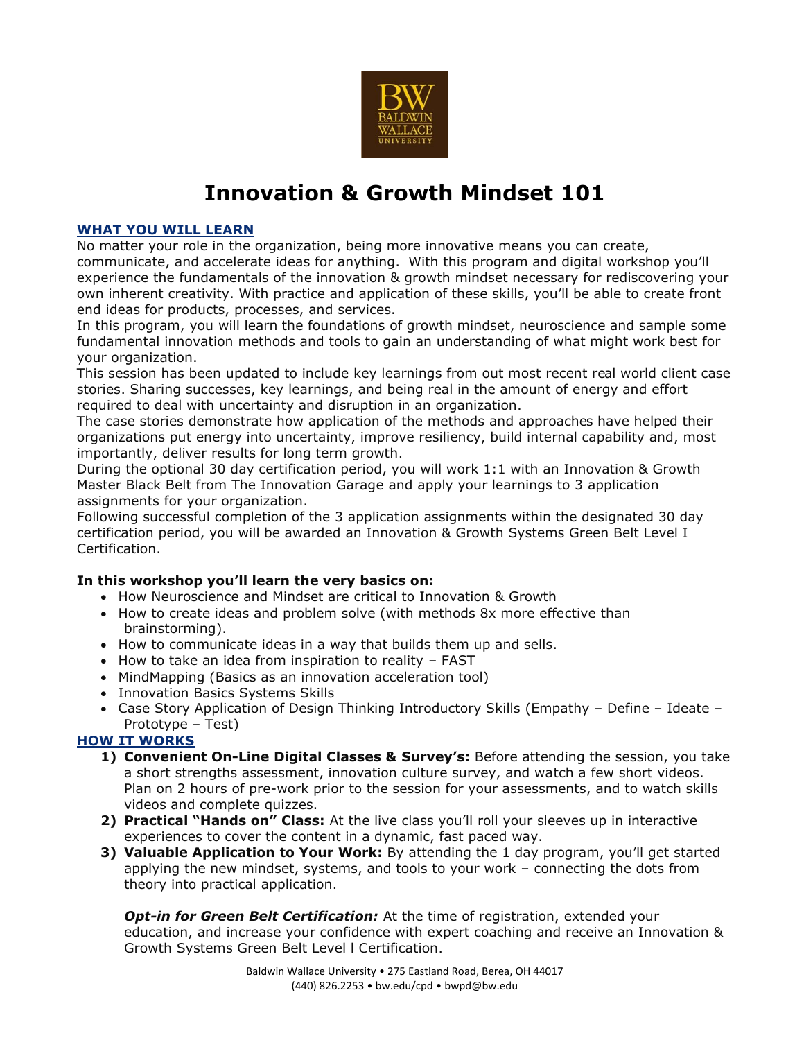

## **Innovation & Growth Mindset 101**

## **WHAT YOU WILL LEARN**

No matter your role in the organization, being more innovative means you can create, communicate, and accelerate ideas for anything. With this program and digital workshop you'll experience the fundamentals of the innovation & growth mindset necessary for rediscovering your own inherent creativity. With practice and application of these skills, you'll be able to create front end ideas for products, processes, and services.

In this program, you will learn the foundations of growth mindset, neuroscience and sample some fundamental innovation methods and tools to gain an understanding of what might work best for your organization.

This session has been updated to include key learnings from out most recent real world client case stories. Sharing successes, key learnings, and being real in the amount of energy and effort required to deal with uncertainty and disruption in an organization.

The case stories demonstrate how application of the methods and approaches have helped their organizations put energy into uncertainty, improve resiliency, build internal capability and, most importantly, deliver results for long term growth.

During the optional 30 day certification period, you will work 1:1 with an Innovation & Growth Master Black Belt from The Innovation Garage and apply your learnings to 3 application assignments for your organization.

Following successful completion of the 3 application assignments within the designated 30 day certification period, you will be awarded an Innovation & Growth Systems Green Belt Level I Certification.

## **In this workshop you'll learn the very basics on:**

- How Neuroscience and Mindset are critical to Innovation & Growth
- How to create ideas and problem solve (with methods 8x more effective than brainstorming).
- How to communicate ideas in a way that builds them up and sells.
- How to take an idea from inspiration to reality FAST
- MindMapping (Basics as an innovation acceleration tool)
- Innovation Basics Systems Skills
- Case Story Application of Design Thinking Introductory Skills (Empathy Define Ideate Prototype – Test)

## **HOW IT WORKS**

- **1) Convenient On-Line Digital Classes & Survey's:** Before attending the session, you take a short strengths assessment, innovation culture survey, and watch a few short videos. Plan on 2 hours of pre-work prior to the session for your assessments, and to watch skills videos and complete quizzes.
- **2) Practical "Hands on" Class:** At the live class you'll roll your sleeves up in interactive experiences to cover the content in a dynamic, fast paced way.
- **3) Valuable Application to Your Work:** By attending the 1 day program, you'll get started applying the new mindset, systems, and tools to your work – connecting the dots from theory into practical application.

*Opt-in for Green Belt Certification:* At the time of registration, extended your education, and increase your confidence with expert coaching and receive an Innovation & Growth Systems Green Belt Level l Certification.